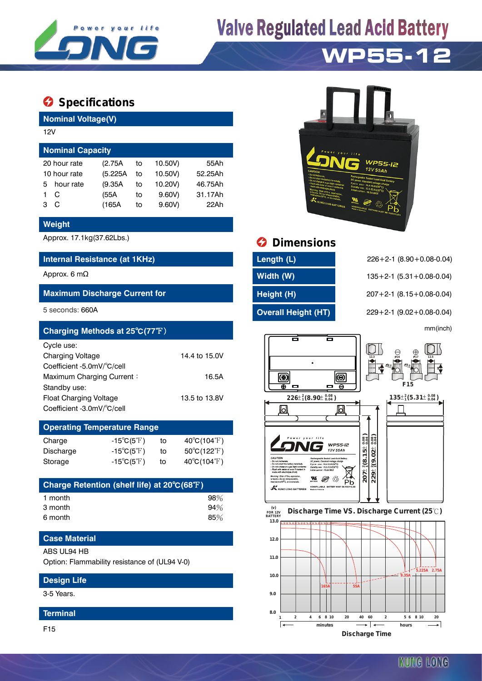

# **Valve Regulated Lead Acid Battery**

## **WP55-12**

### $\bullet$  Specifications

**Nominal Voltage(V)**

| 12V                     |                              |    |         |         |  |  |  |  |  |
|-------------------------|------------------------------|----|---------|---------|--|--|--|--|--|
| <b>Nominal Capacity</b> |                              |    |         |         |  |  |  |  |  |
|                         | (2.75A)                      | to | 10.50V) | 55Ah    |  |  |  |  |  |
|                         | (5.225A                      | to | 10.50V) | 52.25Ah |  |  |  |  |  |
| hour rate               | (9.35A)                      | to | 10.20V) | 46.75Ah |  |  |  |  |  |
| C                       | (55A                         | to | 9.60V   | 31.17Ah |  |  |  |  |  |
| C                       | (165A                        | to | 9.60V   | 22Ah    |  |  |  |  |  |
|                         | 20 hour rate<br>10 hour rate |    |         |         |  |  |  |  |  |

#### **Weight**

#### **Internal Resistance (at 1KHz) Length (L)** 226+2-1 (8.90+0.08-0.04)

#### **Maximum Discharge Current for Height (H)** 207+2-1 (8.15+0.08-0.04)

| Charging Methods at 25°C(77°F) |               |                                               |    | mm(inch)                                |
|--------------------------------|---------------|-----------------------------------------------|----|-----------------------------------------|
| Cycle use:                     |               |                                               | ▭  |                                         |
| <b>Charging Voltage</b>        | 14.4 to 15.0V |                                               |    | $\bigoplus_{\cancel{6}17}$              |
| Coefficient -5.0mV/°C/cell     |               |                                               |    |                                         |
| Maximum Charging Current:      | 16.5A         | ៙                                             | (@ |                                         |
| Standby use:                   |               | ⊕                                             | ш  | F <sub>15</sub>                         |
| Float Charging Voltage         | 13.5 to 13.8V | $226\pm\frac{2}{1}(8.90\pm\frac{0.08}{0.04})$ |    | $135\pm^{2}_{1}(5.31\pm^{0.08}_{0.04})$ |
| Coefficient -3.0mV/°C/cell     |               |                                               |    |                                         |

### **Operating Temperature Range**

| Charge    | $-15^{\circ}C(5^{\circ}F)$ | to | $40^{\circ}$ C(104 $^{\circ}$ F)      |
|-----------|----------------------------|----|---------------------------------------|
| Discharge | $-15^{\circ}C(5^{\circ}F)$ | to | $50^{\circ}$ C(122 $\rm \mathbb{F}$ ) |
| Storage   | $-15^{\circ}C(5^{\circ}F)$ | to | $40^{\circ}$ C(104 $^{\circ}$ F)      |

| Charge Retention (shelf life) at 20°C(68°F) |     |
|---------------------------------------------|-----|
| 1 month                                     | 98% |
| 3 month                                     | 94% |
| 6 month                                     | 85% |

#### **Case Material**

#### ABS UL94 HB

Option: Flammability resistance of (UL94 V-0)

#### **Design Life**

3-5 Years.

#### **Terminal**

F15



## Approx. 17.1kg(37.62Lbs.) **Dimensions**

| Length (L)                 |
|----------------------------|
| Width (W)                  |
| Height (H)                 |
| <b>Overall Height (HT)</b> |

Approx. 6 mΩ **Approx. 6 mΩ** and the state of the state of **Width (W)** 135+2-1 (5.31+0.08-0.04) 5 seconds: 660A **Overall Height (HT)** 229+2-1 (9.02+0.08-0.04)